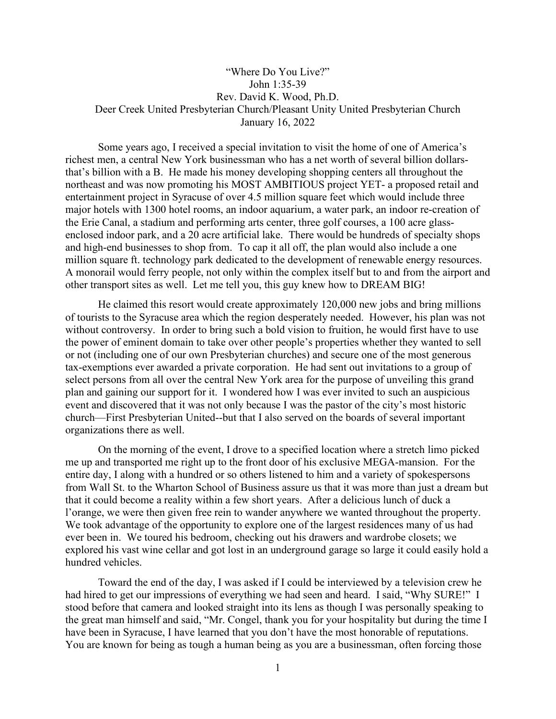## "Where Do You Live?" John 1:35-39 Rev. David K. Wood, Ph.D. Deer Creek United Presbyterian Church/Pleasant Unity United Presbyterian Church January 16, 2022

Some years ago, I received a special invitation to visit the home of one of America's richest men, a central New York businessman who has a net worth of several billion dollarsthat's billion with a B. He made his money developing shopping centers all throughout the northeast and was now promoting his MOST AMBITIOUS project YET- a proposed retail and entertainment project in Syracuse of over 4.5 million square feet which would include three major hotels with 1300 [hotel](http://en.wikipedia.org/wiki/Hotel) rooms, an indoor aquarium, a water park, an indoor re-creation of the Erie Canal, a [stadium](http://en.wikipedia.org/wiki/Stadium) and [performing arts](http://en.wikipedia.org/wiki/Performing_arts) center, three [golf courses,](http://en.wikipedia.org/wiki/Golf_course) a 100 [acre](http://en.wikipedia.org/wiki/Acre) glassenclosed indoor [park,](http://en.wikipedia.org/wiki/Park) and a 20 acre artificial [lake.](http://en.wikipedia.org/wiki/Lake) There would be hundreds of specialty shops and high-end businesses to shop from. To cap it all off, the plan would also include a one million square ft. technology park dedicated to the development of renewable energy resources. A monorail would ferry people, not only within the complex itself but to and from the airport and other transport sites as well. Let me tell you, this guy knew how to DREAM BIG!

He claimed this resort would create approximately 120,000 new jobs and bring millions of tourists to the Syracuse area which the region desperately needed. However, his plan was not without controversy. In order to bring such a bold vision to fruition, he would first have to use the power of eminent domain to take over other people's properties whether they wanted to sell or not (including one of our own Presbyterian churches) and secure one of the most generous tax-exemptions ever awarded a private corporation. He had sent out invitations to a group of select persons from all over the central New York area for the purpose of unveiling this grand plan and gaining our support for it. I wondered how I was ever invited to such an auspicious event and discovered that it was not only because I was the pastor of the city's most historic church—First Presbyterian United--but that I also served on the boards of several important organizations there as well.

On the morning of the event, I drove to a specified location where a stretch limo picked me up and transported me right up to the front door of his exclusive MEGA-mansion. For the entire day, I along with a hundred or so others listened to him and a variety of spokespersons from Wall St. to the Wharton School of Business assure us that it was more than just a dream but that it could become a reality within a few short years. After a delicious lunch of duck a l'orange, we were then given free rein to wander anywhere we wanted throughout the property. We took advantage of the opportunity to explore one of the largest residences many of us had ever been in. We toured his bedroom, checking out his drawers and wardrobe closets; we explored his vast wine cellar and got lost in an underground garage so large it could easily hold a hundred vehicles.

Toward the end of the day, I was asked if I could be interviewed by a television crew he had hired to get our impressions of everything we had seen and heard. I said, "Why SURE!" I stood before that camera and looked straight into its lens as though I was personally speaking to the great man himself and said, "Mr. Congel, thank you for your hospitality but during the time I have been in Syracuse, I have learned that you don't have the most honorable of reputations. You are known for being as tough a human being as you are a businessman, often forcing those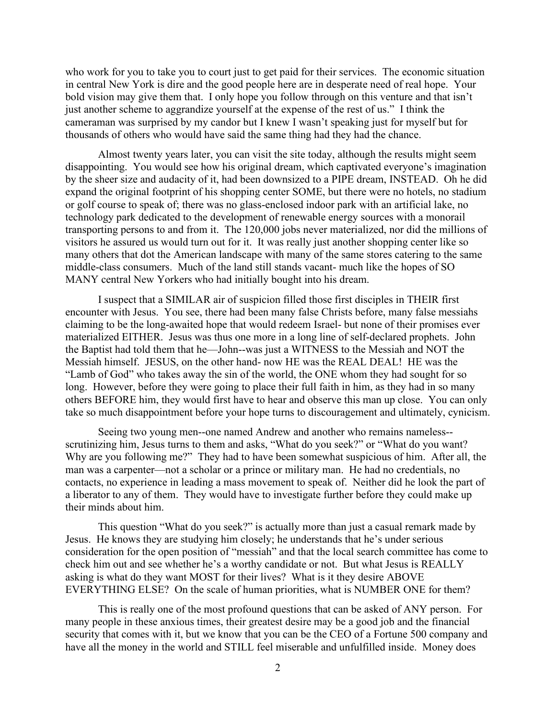who work for you to take you to court just to get paid for their services. The economic situation in central New York is dire and the good people here are in desperate need of real hope. Your bold vision may give them that. I only hope you follow through on this venture and that isn't just another scheme to aggrandize yourself at the expense of the rest of us." I think the cameraman was surprised by my candor but I knew I wasn't speaking just for myself but for thousands of others who would have said the same thing had they had the chance.

Almost twenty years later, you can visit the site today, although the results might seem disappointing. You would see how his original dream, which captivated everyone's imagination by the sheer size and audacity of it, had been downsized to a PIPE dream, INSTEAD. Oh he did expand the original footprint of his shopping center SOME, but there were no hotels, no stadium or golf course to speak of; there was no glass-enclosed indoor park with an artificial lake, no technology park dedicated to the development of renewable energy sources with a monorail transporting persons to and from it. The 120,000 jobs never materialized, nor did the millions of visitors he assured us would turn out for it. It was really just another shopping center like so many others that dot the American landscape with many of the same stores catering to the same middle-class consumers. Much of the land still stands vacant- much like the hopes of SO MANY central New Yorkers who had initially bought into his dream.

I suspect that a SIMILAR air of suspicion filled those first disciples in THEIR first encounter with Jesus. You see, there had been many false Christs before, many false messiahs claiming to be the long-awaited hope that would redeem Israel- but none of their promises ever materialized EITHER. Jesus was thus one more in a long line of self-declared prophets. John the Baptist had told them that he—John--was just a WITNESS to the Messiah and NOT the Messiah himself. JESUS, on the other hand- now HE was the REAL DEAL! HE was the "Lamb of God" who takes away the sin of the world, the ONE whom they had sought for so long. However, before they were going to place their full faith in him, as they had in so many others BEFORE him, they would first have to hear and observe this man up close. You can only take so much disappointment before your hope turns to discouragement and ultimately, cynicism.

Seeing two young men--one named Andrew and another who remains nameless- scrutinizing him, Jesus turns to them and asks, "What do you seek?" or "What do you want? Why are you following me?" They had to have been somewhat suspicious of him. After all, the man was a carpenter—not a scholar or a prince or military man. He had no credentials, no contacts, no experience in leading a mass movement to speak of. Neither did he look the part of a liberator to any of them. They would have to investigate further before they could make up their minds about him.

This question "What do you seek?" is actually more than just a casual remark made by Jesus. He knows they are studying him closely; he understands that he's under serious consideration for the open position of "messiah" and that the local search committee has come to check him out and see whether he's a worthy candidate or not. But what Jesus is REALLY asking is what do they want MOST for their lives? What is it they desire ABOVE EVERYTHING ELSE? On the scale of human priorities, what is NUMBER ONE for them?

This is really one of the most profound questions that can be asked of ANY person. For many people in these anxious times, their greatest desire may be a good job and the financial security that comes with it, but we know that you can be the CEO of a Fortune 500 company and have all the money in the world and STILL feel miserable and unfulfilled inside. Money does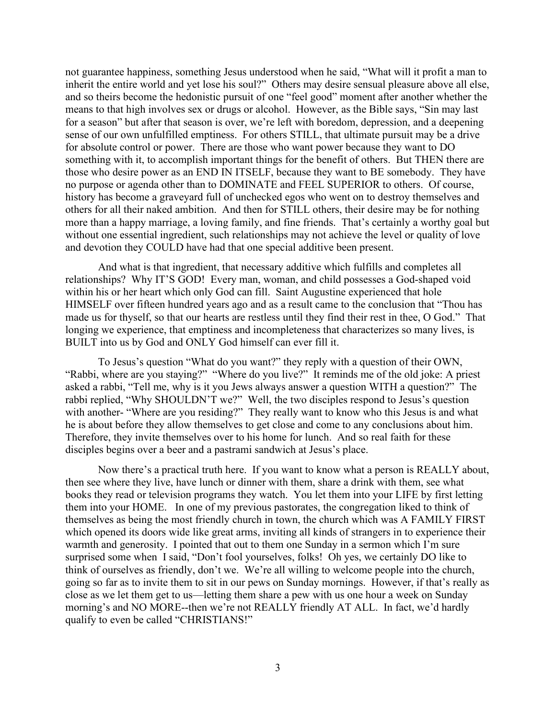not guarantee happiness, something Jesus understood when he said, "What will it profit a man to inherit the entire world and yet lose his soul?" Others may desire sensual pleasure above all else, and so theirs become the hedonistic pursuit of one "feel good" moment after another whether the means to that high involves sex or drugs or alcohol. However, as the Bible says, "Sin may last for a season" but after that season is over, we're left with boredom, depression, and a deepening sense of our own unfulfilled emptiness. For others STILL, that ultimate pursuit may be a drive for absolute control or power. There are those who want power because they want to DO something with it, to accomplish important things for the benefit of others. But THEN there are those who desire power as an END IN ITSELF, because they want to BE somebody. They have no purpose or agenda other than to DOMINATE and FEEL SUPERIOR to others. Of course, history has become a graveyard full of unchecked egos who went on to destroy themselves and others for all their naked ambition. And then for STILL others, their desire may be for nothing more than a happy marriage, a loving family, and fine friends. That's certainly a worthy goal but without one essential ingredient, such relationships may not achieve the level or quality of love and devotion they COULD have had that one special additive been present.

And what is that ingredient, that necessary additive which fulfills and completes all relationships? Why IT'S GOD! Every man, woman, and child possesses a God-shaped void within his or her heart which only God can fill. Saint Augustine experienced that hole HIMSELF over fifteen hundred years ago and as a result came to the conclusion that "Thou has made us for thyself, so that our hearts are restless until they find their rest in thee, O God." That longing we experience, that emptiness and incompleteness that characterizes so many lives, is BUILT into us by God and ONLY God himself can ever fill it.

To Jesus's question "What do you want?" they reply with a question of their OWN, "Rabbi, where are you staying?" "Where do you live?" It reminds me of the old joke: A priest asked a rabbi, "Tell me, why is it you Jews always answer a question WITH a question?" The rabbi replied, "Why SHOULDN'T we?" Well, the two disciples respond to Jesus's question with another- "Where are you residing?" They really want to know who this Jesus is and what he is about before they allow themselves to get close and come to any conclusions about him. Therefore, they invite themselves over to his home for lunch. And so real faith for these disciples begins over a beer and a pastrami sandwich at Jesus's place.

Now there's a practical truth here. If you want to know what a person is REALLY about, then see where they live, have lunch or dinner with them, share a drink with them, see what books they read or television programs they watch. You let them into your LIFE by first letting them into your HOME. In one of my previous pastorates, the congregation liked to think of themselves as being the most friendly church in town, the church which was A FAMILY FIRST which opened its doors wide like great arms, inviting all kinds of strangers in to experience their warmth and generosity. I pointed that out to them one Sunday in a sermon which I'm sure surprised some when I said, "Don't fool yourselves, folks! Oh yes, we certainly DO like to think of ourselves as friendly, don't we. We're all willing to welcome people into the church, going so far as to invite them to sit in our pews on Sunday mornings. However, if that's really as close as we let them get to us—letting them share a pew with us one hour a week on Sunday morning's and NO MORE--then we're not REALLY friendly AT ALL. In fact, we'd hardly qualify to even be called "CHRISTIANS!"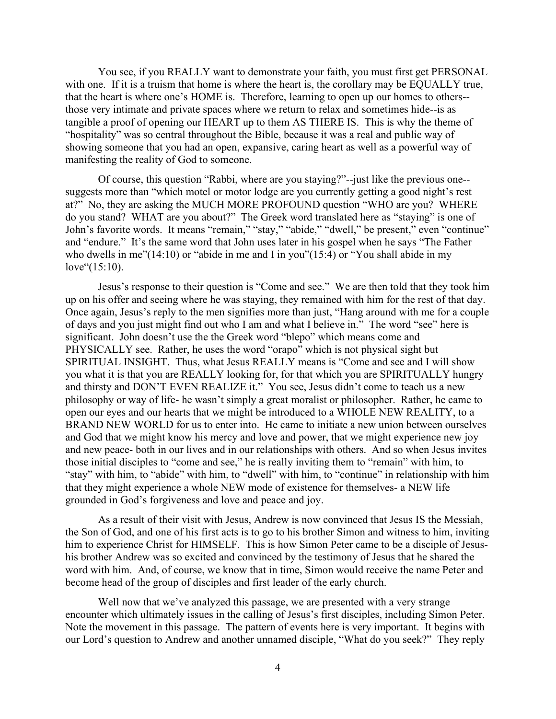You see, if you REALLY want to demonstrate your faith, you must first get PERSONAL with one. If it is a truism that home is where the heart is, the corollary may be EQUALLY true, that the heart is where one's HOME is. Therefore, learning to open up our homes to others- those very intimate and private spaces where we return to relax and sometimes hide--is as tangible a proof of opening our HEART up to them AS THERE IS. This is why the theme of "hospitality" was so central throughout the Bible, because it was a real and public way of showing someone that you had an open, expansive, caring heart as well as a powerful way of manifesting the reality of God to someone.

Of course, this question "Rabbi, where are you staying?"--just like the previous one- suggests more than "which motel or motor lodge are you currently getting a good night's rest at?" No, they are asking the MUCH MORE PROFOUND question "WHO are you? WHERE do you stand? WHAT are you about?" The Greek word translated here as "staying" is one of John's favorite words. It means "remain," "stay," "abide," "dwell," be present," even "continue" and "endure." It's the same word that John uses later in his gospel when he says "The Father who dwells in me"(14:10) or "abide in me and I in you"(15:4) or "You shall abide in my love"(15:10).

Jesus's response to their question is "Come and see." We are then told that they took him up on his offer and seeing where he was staying, they remained with him for the rest of that day. Once again, Jesus's reply to the men signifies more than just, "Hang around with me for a couple of days and you just might find out who I am and what I believe in." The word "see" here is significant. John doesn't use the the Greek word "blepo" which means come and PHYSICALLY see. Rather, he uses the word "orapo" which is not physical sight but SPIRITUAL INSIGHT. Thus, what Jesus REALLY means is "Come and see and I will show you what it is that you are REALLY looking for, for that which you are SPIRITUALLY hungry and thirsty and DON'T EVEN REALIZE it." You see, Jesus didn't come to teach us a new philosophy or way of life- he wasn't simply a great moralist or philosopher. Rather, he came to open our eyes and our hearts that we might be introduced to a WHOLE NEW REALITY, to a BRAND NEW WORLD for us to enter into. He came to initiate a new union between ourselves and God that we might know his mercy and love and power, that we might experience new joy and new peace- both in our lives and in our relationships with others. And so when Jesus invites those initial disciples to "come and see," he is really inviting them to "remain" with him, to "stay" with him, to "abide" with him, to "dwell" with him, to "continue" in relationship with him that they might experience a whole NEW mode of existence for themselves- a NEW life grounded in God's forgiveness and love and peace and joy.

As a result of their visit with Jesus, Andrew is now convinced that Jesus IS the Messiah, the Son of God, and one of his first acts is to go to his brother Simon and witness to him, inviting him to experience Christ for HIMSELF. This is how Simon Peter came to be a disciple of Jesushis brother Andrew was so excited and convinced by the testimony of Jesus that he shared the word with him. And, of course, we know that in time, Simon would receive the name Peter and become head of the group of disciples and first leader of the early church.

Well now that we've analyzed this passage, we are presented with a very strange encounter which ultimately issues in the calling of Jesus's first disciples, including Simon Peter. Note the movement in this passage. The pattern of events here is very important. It begins with our Lord's question to Andrew and another unnamed disciple, "What do you seek?" They reply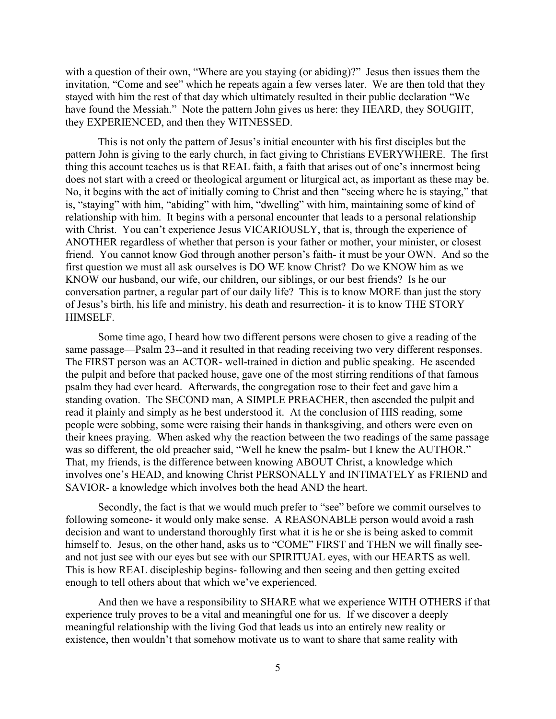with a question of their own, "Where are you staying (or abiding)?" Jesus then issues them the invitation, "Come and see" which he repeats again a few verses later. We are then told that they stayed with him the rest of that day which ultimately resulted in their public declaration "We have found the Messiah." Note the pattern John gives us here: they HEARD, they SOUGHT, they EXPERIENCED, and then they WITNESSED.

This is not only the pattern of Jesus's initial encounter with his first disciples but the pattern John is giving to the early church, in fact giving to Christians EVERYWHERE. The first thing this account teaches us is that REAL faith, a faith that arises out of one's innermost being does not start with a creed or theological argument or liturgical act, as important as these may be. No, it begins with the act of initially coming to Christ and then "seeing where he is staying," that is, "staying" with him, "abiding" with him, "dwelling" with him, maintaining some of kind of relationship with him. It begins with a personal encounter that leads to a personal relationship with Christ. You can't experience Jesus VICARIOUSLY, that is, through the experience of ANOTHER regardless of whether that person is your father or mother, your minister, or closest friend. You cannot know God through another person's faith- it must be your OWN. And so the first question we must all ask ourselves is DO WE know Christ? Do we KNOW him as we KNOW our husband, our wife, our children, our siblings, or our best friends? Is he our conversation partner, a regular part of our daily life? This is to know MORE than just the story of Jesus's birth, his life and ministry, his death and resurrection- it is to know THE STORY HIMSELF.

Some time ago, I heard how two different persons were chosen to give a reading of the same passage—Psalm 23--and it resulted in that reading receiving two very different responses. The FIRST person was an ACTOR- well-trained in diction and public speaking. He ascended the pulpit and before that packed house, gave one of the most stirring renditions of that famous psalm they had ever heard. Afterwards, the congregation rose to their feet and gave him a standing ovation. The SECOND man, A SIMPLE PREACHER, then ascended the pulpit and read it plainly and simply as he best understood it. At the conclusion of HIS reading, some people were sobbing, some were raising their hands in thanksgiving, and others were even on their knees praying. When asked why the reaction between the two readings of the same passage was so different, the old preacher said, "Well he knew the psalm- but I knew the AUTHOR." That, my friends, is the difference between knowing ABOUT Christ, a knowledge which involves one's HEAD, and knowing Christ PERSONALLY and INTIMATELY as FRIEND and SAVIOR- a knowledge which involves both the head AND the heart.

Secondly, the fact is that we would much prefer to "see" before we commit ourselves to following someone- it would only make sense. A REASONABLE person would avoid a rash decision and want to understand thoroughly first what it is he or she is being asked to commit himself to. Jesus, on the other hand, asks us to "COME" FIRST and THEN we will finally seeand not just see with our eyes but see with our SPIRITUAL eyes, with our HEARTS as well. This is how REAL discipleship begins- following and then seeing and then getting excited enough to tell others about that which we've experienced.

And then we have a responsibility to SHARE what we experience WITH OTHERS if that experience truly proves to be a vital and meaningful one for us. If we discover a deeply meaningful relationship with the living God that leads us into an entirely new reality or existence, then wouldn't that somehow motivate us to want to share that same reality with